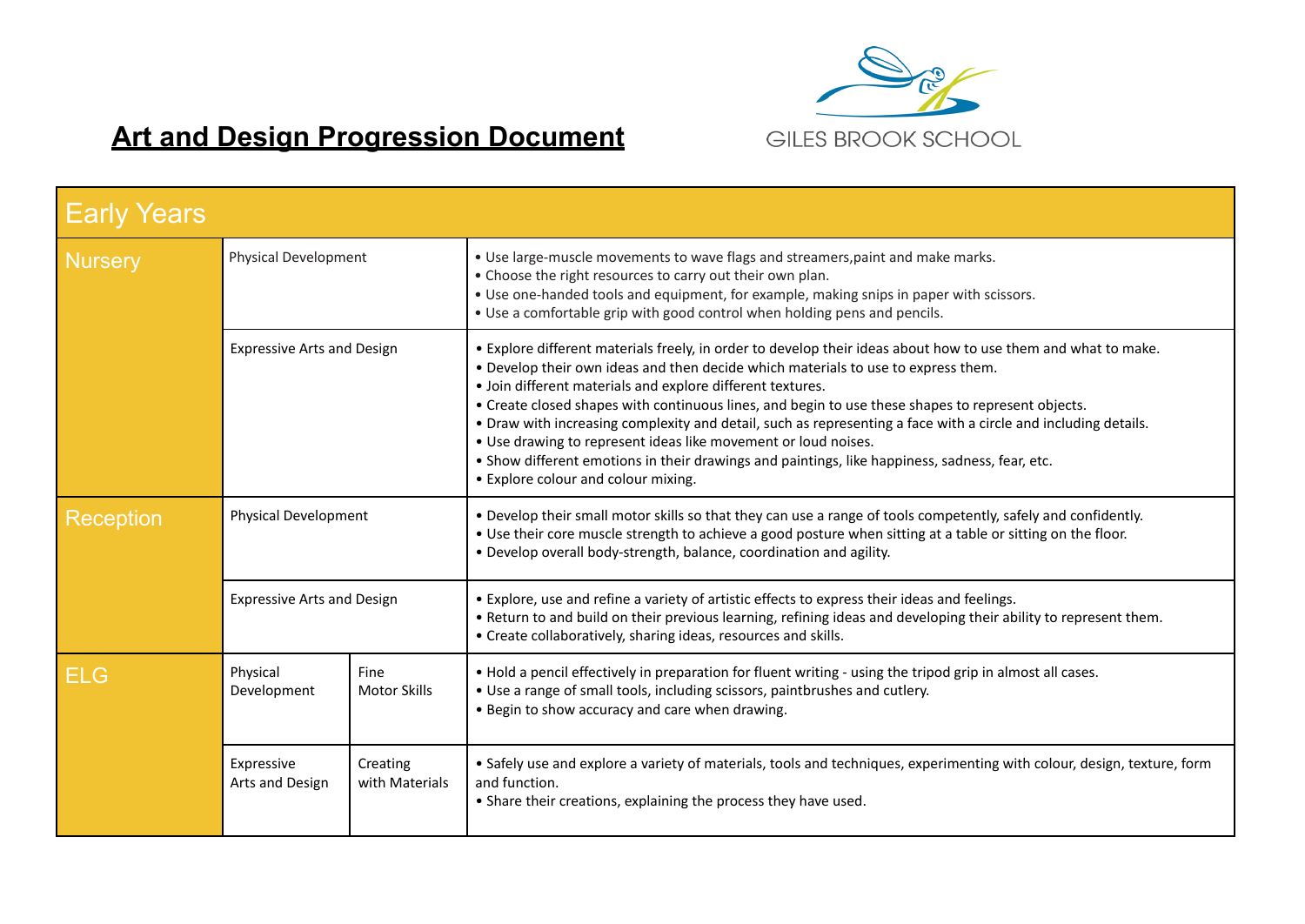

## **Art and Design Progression Document**

| <b>Early Years</b> |                                                             |                             |                                                                                                                                                                                                                                                                                                                                                                                                                                                                                                                                                                                                                                                                                                    |  |  |  |
|--------------------|-------------------------------------------------------------|-----------------------------|----------------------------------------------------------------------------------------------------------------------------------------------------------------------------------------------------------------------------------------------------------------------------------------------------------------------------------------------------------------------------------------------------------------------------------------------------------------------------------------------------------------------------------------------------------------------------------------------------------------------------------------------------------------------------------------------------|--|--|--|
| Nursery            | Physical Development                                        |                             | . Use large-muscle movements to wave flags and streamers, paint and make marks.<br>• Choose the right resources to carry out their own plan.<br>• Use one-handed tools and equipment, for example, making snips in paper with scissors.<br>. Use a comfortable grip with good control when holding pens and pencils.                                                                                                                                                                                                                                                                                                                                                                               |  |  |  |
|                    | <b>Expressive Arts and Design</b>                           |                             | . Explore different materials freely, in order to develop their ideas about how to use them and what to make.<br>. Develop their own ideas and then decide which materials to use to express them.<br>· Join different materials and explore different textures.<br>• Create closed shapes with continuous lines, and begin to use these shapes to represent objects.<br>. Draw with increasing complexity and detail, such as representing a face with a circle and including details.<br>• Use drawing to represent ideas like movement or loud noises.<br>. Show different emotions in their drawings and paintings, like happiness, sadness, fear, etc.<br>• Explore colour and colour mixing. |  |  |  |
| Reception          | <b>Physical Development</b>                                 |                             | . Develop their small motor skills so that they can use a range of tools competently, safely and confidently.<br>. Use their core muscle strength to achieve a good posture when sitting at a table or sitting on the floor.<br>• Develop overall body-strength, balance, coordination and agility.                                                                                                                                                                                                                                                                                                                                                                                                |  |  |  |
|                    | <b>Expressive Arts and Design</b>                           |                             | • Explore, use and refine a variety of artistic effects to express their ideas and feelings.<br>. Return to and build on their previous learning, refining ideas and developing their ability to represent them.<br>• Create collaboratively, sharing ideas, resources and skills.                                                                                                                                                                                                                                                                                                                                                                                                                 |  |  |  |
| <b>ELG</b>         | Physical<br>Development                                     | Fine<br><b>Motor Skills</b> | . Hold a pencil effectively in preparation for fluent writing - using the tripod grip in almost all cases.<br>• Use a range of small tools, including scissors, paintbrushes and cutlery.<br>. Begin to show accuracy and care when drawing.                                                                                                                                                                                                                                                                                                                                                                                                                                                       |  |  |  |
|                    | Expressive<br>Creating<br>with Materials<br>Arts and Design |                             | • Safely use and explore a variety of materials, tools and techniques, experimenting with colour, design, texture, form<br>and function.<br>• Share their creations, explaining the process they have used.                                                                                                                                                                                                                                                                                                                                                                                                                                                                                        |  |  |  |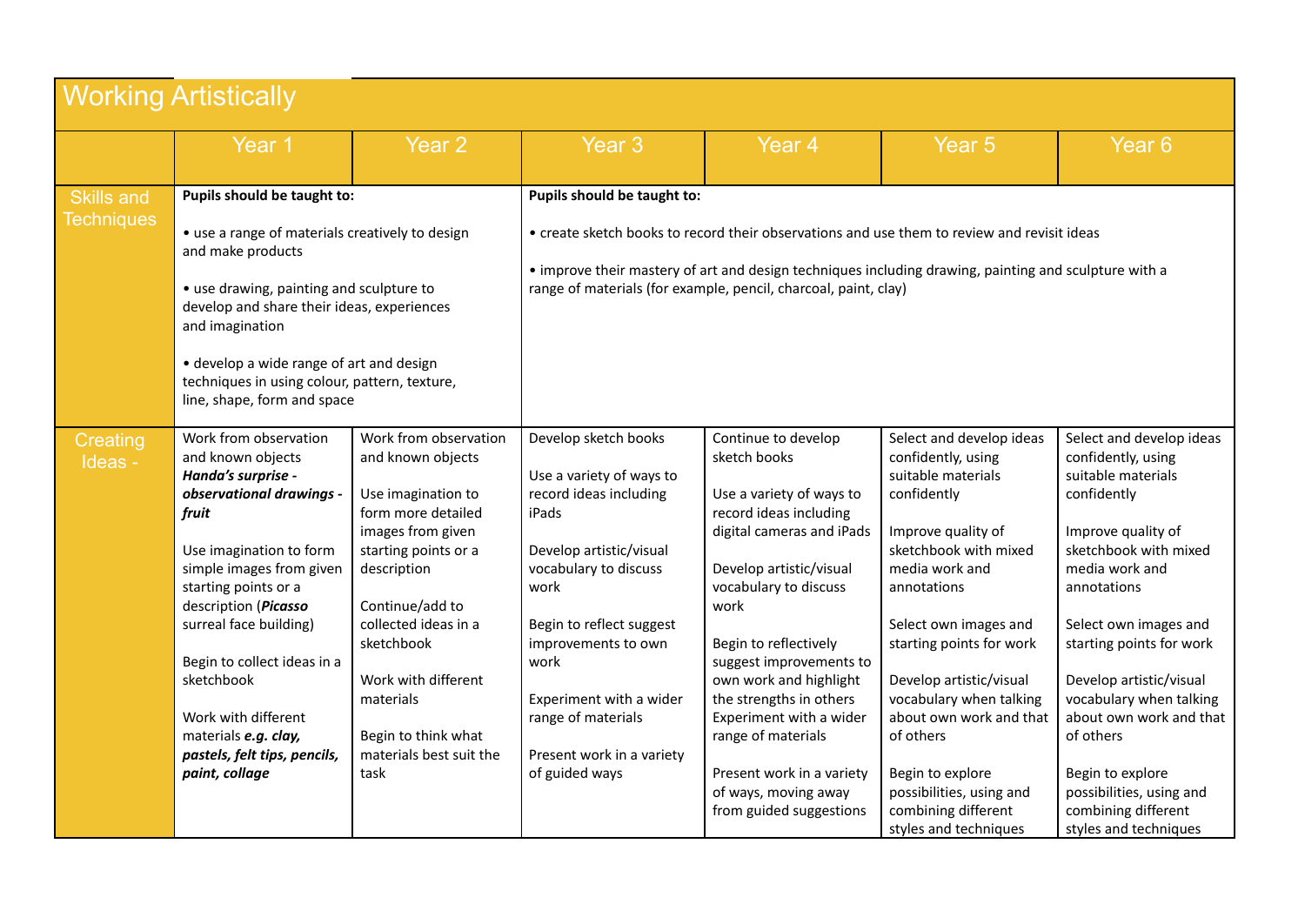| <b>Working Artistically</b> |                                                                                                                                                                                                                                                                                                                                                                                      |                                                                                                                                                                                                                                                                                                           |                                                                                                                                                                                                                                                                                                            |                                                                                                                                                                                                                                                                                                                                                                                                                              |                                                                                                                                                                                                                                                                                                                                                                                                                        |                                                                                                                                                                                                                                                                                                                                                                                                                        |  |
|-----------------------------|--------------------------------------------------------------------------------------------------------------------------------------------------------------------------------------------------------------------------------------------------------------------------------------------------------------------------------------------------------------------------------------|-----------------------------------------------------------------------------------------------------------------------------------------------------------------------------------------------------------------------------------------------------------------------------------------------------------|------------------------------------------------------------------------------------------------------------------------------------------------------------------------------------------------------------------------------------------------------------------------------------------------------------|------------------------------------------------------------------------------------------------------------------------------------------------------------------------------------------------------------------------------------------------------------------------------------------------------------------------------------------------------------------------------------------------------------------------------|------------------------------------------------------------------------------------------------------------------------------------------------------------------------------------------------------------------------------------------------------------------------------------------------------------------------------------------------------------------------------------------------------------------------|------------------------------------------------------------------------------------------------------------------------------------------------------------------------------------------------------------------------------------------------------------------------------------------------------------------------------------------------------------------------------------------------------------------------|--|
|                             | Year 1                                                                                                                                                                                                                                                                                                                                                                               | Year <sub>2</sub>                                                                                                                                                                                                                                                                                         | Year <sub>3</sub>                                                                                                                                                                                                                                                                                          | Year <sub>4</sub>                                                                                                                                                                                                                                                                                                                                                                                                            | Year <sub>5</sub>                                                                                                                                                                                                                                                                                                                                                                                                      | Year <sub>6</sub>                                                                                                                                                                                                                                                                                                                                                                                                      |  |
| <b>Skills and</b>           | Pupils should be taught to:                                                                                                                                                                                                                                                                                                                                                          |                                                                                                                                                                                                                                                                                                           | Pupils should be taught to:                                                                                                                                                                                                                                                                                |                                                                                                                                                                                                                                                                                                                                                                                                                              |                                                                                                                                                                                                                                                                                                                                                                                                                        |                                                                                                                                                                                                                                                                                                                                                                                                                        |  |
| <b>Techniques</b>           | • use a range of materials creatively to design<br>and make products<br>• use drawing, painting and sculpture to<br>develop and share their ideas, experiences<br>and imagination                                                                                                                                                                                                    |                                                                                                                                                                                                                                                                                                           | • create sketch books to record their observations and use them to review and revisit ideas<br>• improve their mastery of art and design techniques including drawing, painting and sculpture with a<br>range of materials (for example, pencil, charcoal, paint, clay)                                    |                                                                                                                                                                                                                                                                                                                                                                                                                              |                                                                                                                                                                                                                                                                                                                                                                                                                        |                                                                                                                                                                                                                                                                                                                                                                                                                        |  |
|                             | • develop a wide range of art and design<br>techniques in using colour, pattern, texture,<br>line, shape, form and space                                                                                                                                                                                                                                                             |                                                                                                                                                                                                                                                                                                           |                                                                                                                                                                                                                                                                                                            |                                                                                                                                                                                                                                                                                                                                                                                                                              |                                                                                                                                                                                                                                                                                                                                                                                                                        |                                                                                                                                                                                                                                                                                                                                                                                                                        |  |
| Creating<br>Ideas -         | Work from observation<br>and known objects<br>Handa's surprise -<br>observational drawings -<br>fruit<br>Use imagination to form<br>simple images from given<br>starting points or a<br>description (Picasso<br>surreal face building)<br>Begin to collect ideas in a<br>sketchbook<br>Work with different<br>materials e.g. clay,<br>pastels, felt tips, pencils,<br>paint, collage | Work from observation<br>and known objects<br>Use imagination to<br>form more detailed<br>images from given<br>starting points or a<br>description<br>Continue/add to<br>collected ideas in a<br>sketchbook<br>Work with different<br>materials<br>Begin to think what<br>materials best suit the<br>task | Develop sketch books<br>Use a variety of ways to<br>record ideas including<br>iPads<br>Develop artistic/visual<br>vocabulary to discuss<br>work<br>Begin to reflect suggest<br>improvements to own<br>work<br>Experiment with a wider<br>range of materials<br>Present work in a variety<br>of guided ways | Continue to develop<br>sketch books<br>Use a variety of ways to<br>record ideas including<br>digital cameras and iPads<br>Develop artistic/visual<br>vocabulary to discuss<br>work<br>Begin to reflectively<br>suggest improvements to<br>own work and highlight<br>the strengths in others<br>Experiment with a wider<br>range of materials<br>Present work in a variety<br>of ways, moving away<br>from guided suggestions | Select and develop ideas<br>confidently, using<br>suitable materials<br>confidently<br>Improve quality of<br>sketchbook with mixed<br>media work and<br>annotations<br>Select own images and<br>starting points for work<br>Develop artistic/visual<br>vocabulary when talking<br>about own work and that<br>of others<br>Begin to explore<br>possibilities, using and<br>combining different<br>styles and techniques | Select and develop ideas<br>confidently, using<br>suitable materials<br>confidently<br>Improve quality of<br>sketchbook with mixed<br>media work and<br>annotations<br>Select own images and<br>starting points for work<br>Develop artistic/visual<br>vocabulary when talking<br>about own work and that<br>of others<br>Begin to explore<br>possibilities, using and<br>combining different<br>styles and techniques |  |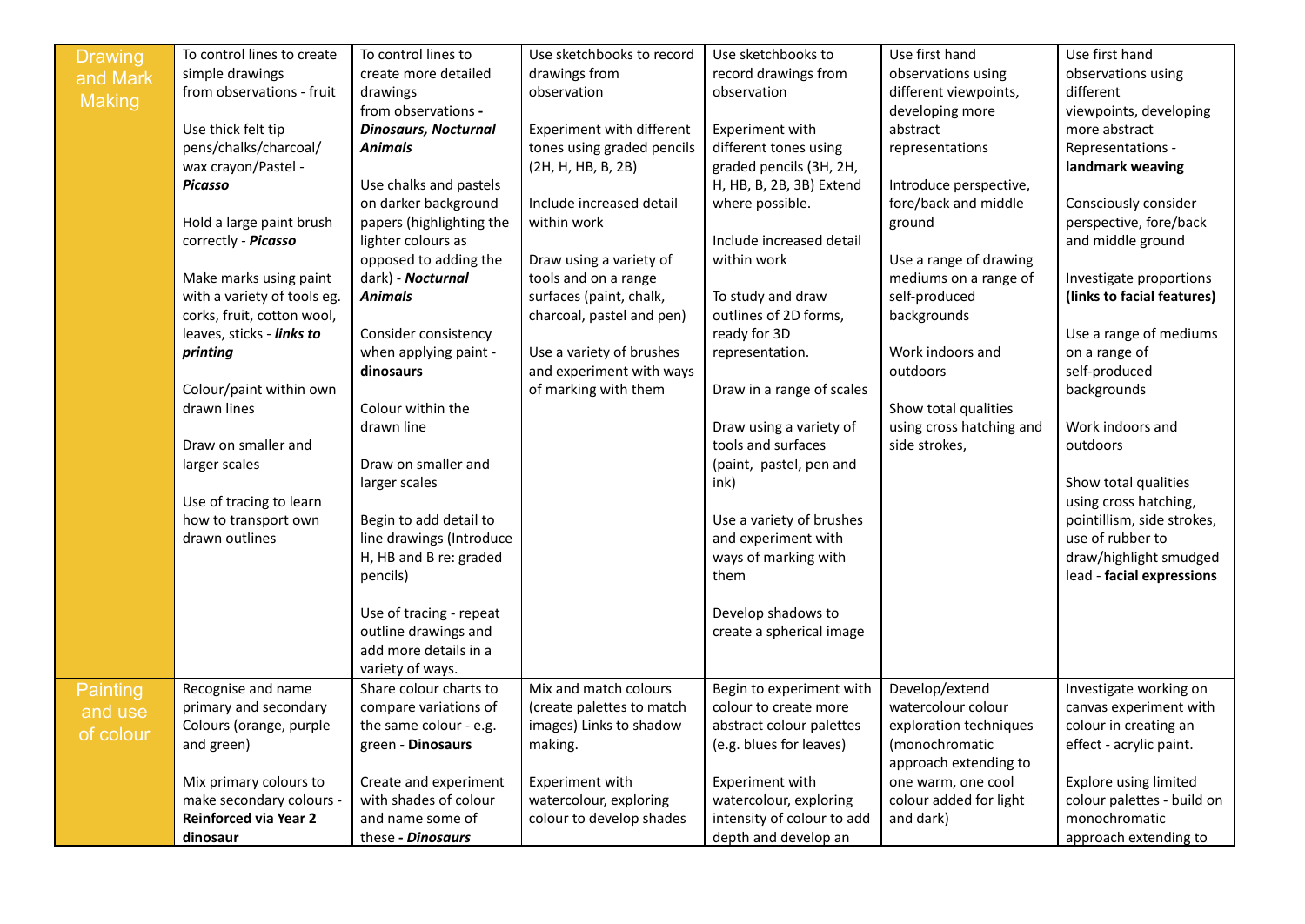| <b>Drawing</b>  | To control lines to create   | To control lines to         | Use sketchbooks to record  | Use sketchbooks to         | Use first hand           | Use first hand               |
|-----------------|------------------------------|-----------------------------|----------------------------|----------------------------|--------------------------|------------------------------|
| and Mark        | simple drawings              | create more detailed        | drawings from              | record drawings from       | observations using       | observations using           |
| <b>Making</b>   | from observations - fruit    | drawings                    | observation                | observation                | different viewpoints,    | different                    |
|                 |                              | from observations -         |                            |                            | developing more          | viewpoints, developing       |
|                 | Use thick felt tip           | <b>Dinosaurs, Nocturnal</b> | Experiment with different  | Experiment with            | abstract                 | more abstract                |
|                 | pens/chalks/charcoal/        | <b>Animals</b>              | tones using graded pencils | different tones using      | representations          | Representations -            |
|                 | wax crayon/Pastel -          |                             | (2H, H, HB, B, 2B)         | graded pencils (3H, 2H,    |                          | landmark weaving             |
|                 | <b>Picasso</b>               | Use chalks and pastels      |                            | H, HB, B, 2B, 3B) Extend   | Introduce perspective,   |                              |
|                 |                              | on darker background        | Include increased detail   | where possible.            | fore/back and middle     | Consciously consider         |
|                 | Hold a large paint brush     | papers (highlighting the    | within work                |                            | ground                   | perspective, fore/back       |
|                 | correctly - Picasso          | lighter colours as          |                            | Include increased detail   |                          | and middle ground            |
|                 |                              | opposed to adding the       | Draw using a variety of    | within work                | Use a range of drawing   |                              |
|                 | Make marks using paint       | dark) - Nocturnal           | tools and on a range       |                            | mediums on a range of    | Investigate proportions      |
|                 | with a variety of tools eg.  | <b>Animals</b>              | surfaces (paint, chalk,    | To study and draw          | self-produced            | (links to facial features)   |
|                 | corks, fruit, cotton wool,   |                             | charcoal, pastel and pen)  | outlines of 2D forms,      | backgrounds              |                              |
|                 | leaves, sticks - links to    | Consider consistency        |                            | ready for 3D               |                          | Use a range of mediums       |
|                 | printing                     | when applying paint -       | Use a variety of brushes   | representation.            | Work indoors and         | on a range of                |
|                 |                              | dinosaurs                   | and experiment with ways   |                            | outdoors                 | self-produced                |
|                 | Colour/paint within own      |                             | of marking with them       | Draw in a range of scales  |                          | backgrounds                  |
|                 | drawn lines                  | Colour within the           |                            |                            | Show total qualities     |                              |
|                 |                              | drawn line                  |                            | Draw using a variety of    | using cross hatching and | Work indoors and             |
|                 | Draw on smaller and          |                             |                            | tools and surfaces         | side strokes,            | outdoors                     |
|                 | larger scales                | Draw on smaller and         |                            | (paint, pastel, pen and    |                          |                              |
|                 |                              | larger scales               |                            | ink)                       |                          | Show total qualities         |
|                 | Use of tracing to learn      |                             |                            |                            |                          | using cross hatching,        |
|                 | how to transport own         | Begin to add detail to      |                            | Use a variety of brushes   |                          | pointillism, side strokes,   |
|                 | drawn outlines               | line drawings (Introduce    |                            | and experiment with        |                          | use of rubber to             |
|                 |                              | H, HB and B re: graded      |                            | ways of marking with       |                          | draw/highlight smudged       |
|                 |                              | pencils)                    |                            | them                       |                          | lead - facial expressions    |
|                 |                              |                             |                            |                            |                          |                              |
|                 |                              | Use of tracing - repeat     |                            | Develop shadows to         |                          |                              |
|                 |                              | outline drawings and        |                            | create a spherical image   |                          |                              |
|                 |                              | add more details in a       |                            |                            |                          |                              |
|                 |                              | variety of ways.            |                            |                            |                          |                              |
| <b>Painting</b> | Recognise and name           | Share colour charts to      | Mix and match colours      | Begin to experiment with   | Develop/extend           | Investigate working on       |
| and use         | primary and secondary        | compare variations of       | (create palettes to match  | colour to create more      | watercolour colour       | canvas experiment with       |
| of colour       | Colours (orange, purple      | the same colour - e.g.      | images) Links to shadow    | abstract colour palettes   | exploration techniques   | colour in creating an        |
|                 | and green)                   | green - Dinosaurs           | making.                    | (e.g. blues for leaves)    | (monochromatic           | effect - acrylic paint.      |
|                 |                              |                             |                            |                            | approach extending to    |                              |
|                 | Mix primary colours to       | Create and experiment       | Experiment with            | Experiment with            | one warm, one cool       | <b>Explore using limited</b> |
|                 | make secondary colours -     | with shades of colour       | watercolour, exploring     | watercolour, exploring     | colour added for light   | colour palettes - build on   |
|                 | <b>Reinforced via Year 2</b> | and name some of            | colour to develop shades   | intensity of colour to add | and dark)                | monochromatic                |
|                 | dinosaur                     | these - Dinosaurs           |                            | depth and develop an       |                          | approach extending to        |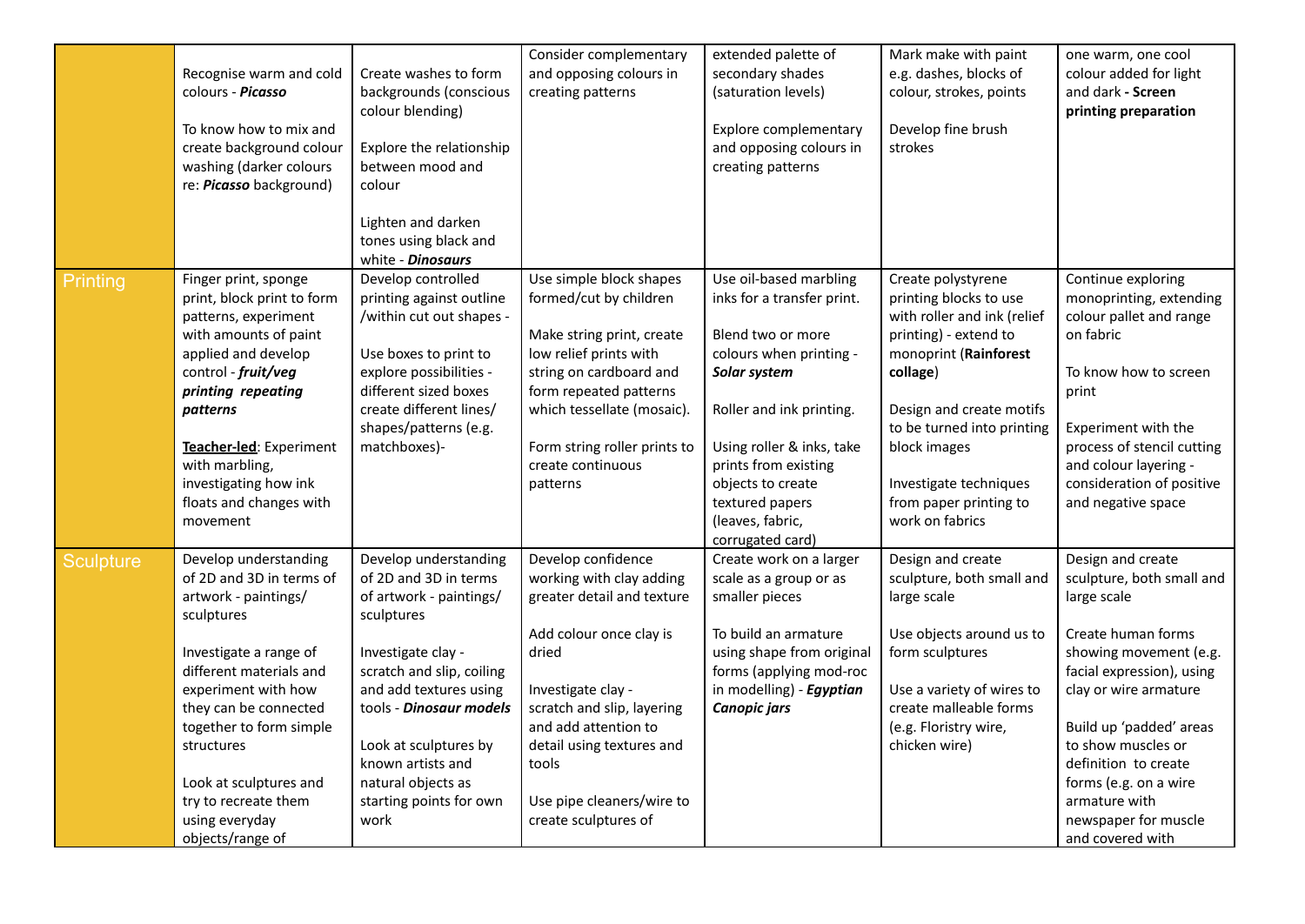|                  | Recognise warm and cold<br>colours - Picasso<br>To know how to mix and<br>create background colour<br>washing (darker colours<br>re: <i>Picasso</i> background)                                                                                                                                                               | Create washes to form<br>backgrounds (conscious<br>colour blending)<br>Explore the relationship<br>between mood and<br>colour<br>Lighten and darken<br>tones using black and<br>white - Dinosaurs                                                                                                      | Consider complementary<br>and opposing colours in<br>creating patterns                                                                                                                                                                                                                  | extended palette of<br>secondary shades<br>(saturation levels)<br>Explore complementary<br>and opposing colours in<br>creating patterns                                                                                                                                               | Mark make with paint<br>e.g. dashes, blocks of<br>colour, strokes, points<br>Develop fine brush<br>strokes                                                                                                                                                                                 | one warm, one cool<br>colour added for light<br>and dark - Screen<br>printing preparation                                                                                                                                                                                                                                          |
|------------------|-------------------------------------------------------------------------------------------------------------------------------------------------------------------------------------------------------------------------------------------------------------------------------------------------------------------------------|--------------------------------------------------------------------------------------------------------------------------------------------------------------------------------------------------------------------------------------------------------------------------------------------------------|-----------------------------------------------------------------------------------------------------------------------------------------------------------------------------------------------------------------------------------------------------------------------------------------|---------------------------------------------------------------------------------------------------------------------------------------------------------------------------------------------------------------------------------------------------------------------------------------|--------------------------------------------------------------------------------------------------------------------------------------------------------------------------------------------------------------------------------------------------------------------------------------------|------------------------------------------------------------------------------------------------------------------------------------------------------------------------------------------------------------------------------------------------------------------------------------------------------------------------------------|
| <b>Printing</b>  | Finger print, sponge<br>print, block print to form<br>patterns, experiment<br>with amounts of paint<br>applied and develop<br>control - fruit/veg<br>printing repeating<br>patterns<br>Teacher-led: Experiment<br>with marbling,<br>investigating how ink<br>floats and changes with<br>movement                              | Develop controlled<br>printing against outline<br>/within cut out shapes -<br>Use boxes to print to<br>explore possibilities -<br>different sized boxes<br>create different lines/<br>shapes/patterns (e.g.<br>matchboxes)-                                                                            | Use simple block shapes<br>formed/cut by children<br>Make string print, create<br>low relief prints with<br>string on cardboard and<br>form repeated patterns<br>which tessellate (mosaic).<br>Form string roller prints to<br>create continuous<br>patterns                            | Use oil-based marbling<br>inks for a transfer print.<br>Blend two or more<br>colours when printing -<br>Solar system<br>Roller and ink printing.<br>Using roller & inks, take<br>prints from existing<br>objects to create<br>textured papers<br>(leaves, fabric,<br>corrugated card) | Create polystyrene<br>printing blocks to use<br>with roller and ink (relief<br>printing) - extend to<br>monoprint (Rainforest<br>collage)<br>Design and create motifs<br>to be turned into printing<br>block images<br>Investigate techniques<br>from paper printing to<br>work on fabrics | Continue exploring<br>monoprinting, extending<br>colour pallet and range<br>on fabric<br>To know how to screen<br>print<br>Experiment with the<br>process of stencil cutting<br>and colour layering -<br>consideration of positive<br>and negative space                                                                           |
| <b>Sculpture</b> | Develop understanding<br>of 2D and 3D in terms of<br>artwork - paintings/<br>sculptures<br>Investigate a range of<br>different materials and<br>experiment with how<br>they can be connected<br>together to form simple<br>structures<br>Look at sculptures and<br>try to recreate them<br>using everyday<br>objects/range of | Develop understanding<br>of 2D and 3D in terms<br>of artwork - paintings/<br>sculptures<br>Investigate clay -<br>scratch and slip, coiling<br>and add textures using<br>tools - Dinosaur models<br>Look at sculptures by<br>known artists and<br>natural objects as<br>starting points for own<br>work | Develop confidence<br>working with clay adding<br>greater detail and texture<br>Add colour once clay is<br>dried<br>Investigate clay -<br>scratch and slip, layering<br>and add attention to<br>detail using textures and<br>tools<br>Use pipe cleaners/wire to<br>create sculptures of | Create work on a larger<br>scale as a group or as<br>smaller pieces<br>To build an armature<br>using shape from original<br>forms (applying mod-roc<br>in modelling) - Egyptian<br><b>Canopic jars</b>                                                                                | Design and create<br>sculpture, both small and<br>large scale<br>Use objects around us to<br>form sculptures<br>Use a variety of wires to<br>create malleable forms<br>(e.g. Floristry wire,<br>chicken wire)                                                                              | Design and create<br>sculpture, both small and<br>large scale<br>Create human forms<br>showing movement (e.g.<br>facial expression), using<br>clay or wire armature<br>Build up 'padded' areas<br>to show muscles or<br>definition to create<br>forms (e.g. on a wire<br>armature with<br>newspaper for muscle<br>and covered with |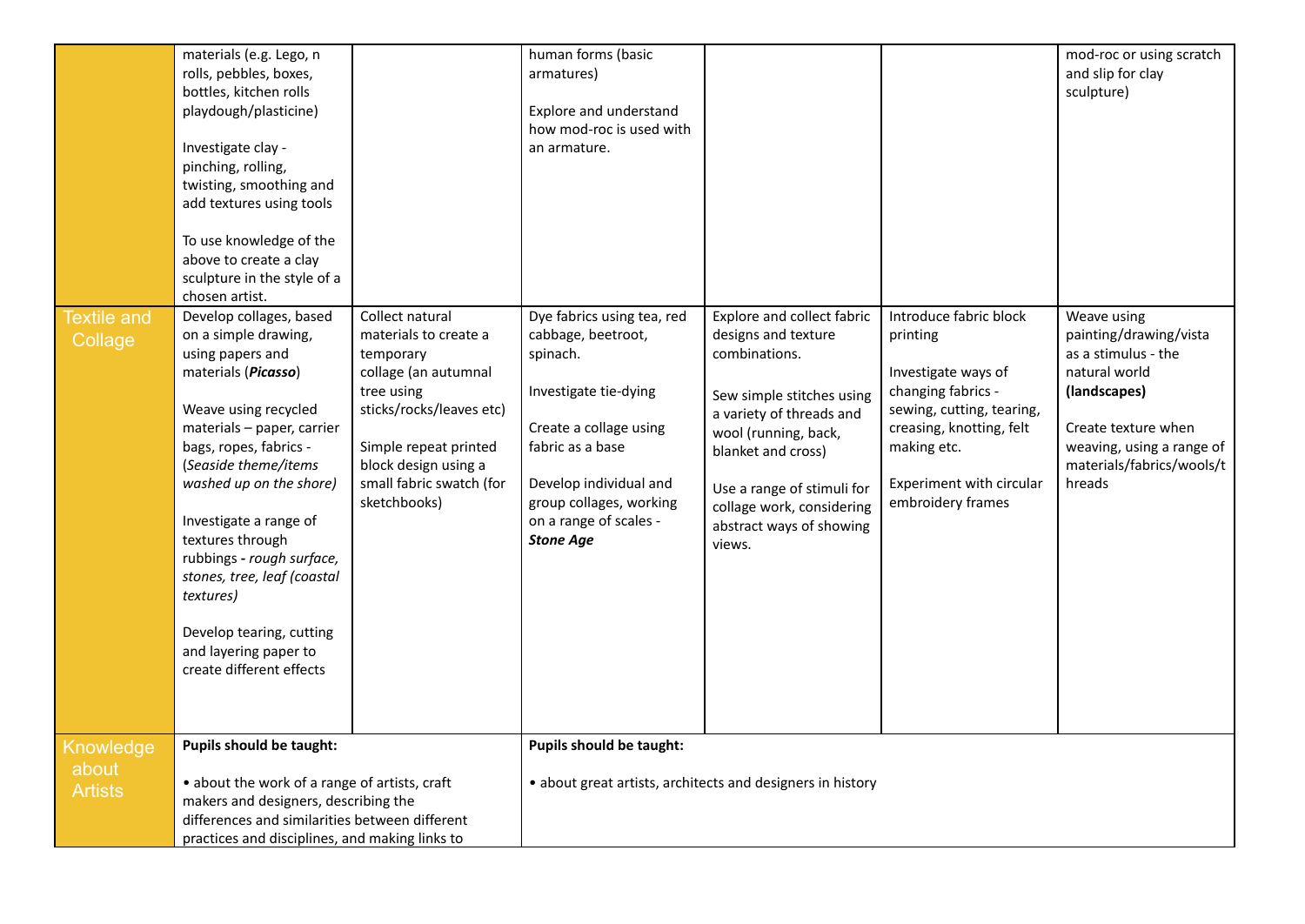|                                      | materials (e.g. Lego, n<br>rolls, pebbles, boxes,<br>bottles, kitchen rolls<br>playdough/plasticine)<br>Investigate clay -<br>pinching, rolling,<br>twisting, smoothing and<br>add textures using tools<br>To use knowledge of the<br>above to create a clay<br>sculpture in the style of a<br>chosen artist.                                                                                                                         |                                                                                                                                                                                                                      | human forms (basic<br>armatures)<br>Explore and understand<br>how mod-roc is used with<br>an armature.                                                                                                                                 |                                                                                                                                                                                                                                                                            |                                                                                                                                                                                                          | mod-roc or using scratch<br>and slip for clay<br>sculpture)                                                                                                                              |
|--------------------------------------|---------------------------------------------------------------------------------------------------------------------------------------------------------------------------------------------------------------------------------------------------------------------------------------------------------------------------------------------------------------------------------------------------------------------------------------|----------------------------------------------------------------------------------------------------------------------------------------------------------------------------------------------------------------------|----------------------------------------------------------------------------------------------------------------------------------------------------------------------------------------------------------------------------------------|----------------------------------------------------------------------------------------------------------------------------------------------------------------------------------------------------------------------------------------------------------------------------|----------------------------------------------------------------------------------------------------------------------------------------------------------------------------------------------------------|------------------------------------------------------------------------------------------------------------------------------------------------------------------------------------------|
| <b>Textile and</b><br>Collage        | Develop collages, based<br>on a simple drawing,<br>using papers and<br>materials (Picasso)<br>Weave using recycled<br>materials - paper, carrier<br>bags, ropes, fabrics -<br>(Seaside theme/items<br>washed up on the shore)<br>Investigate a range of<br>textures through<br>rubbings - rough surface,<br>stones, tree, leaf (coastal<br>textures)<br>Develop tearing, cutting<br>and layering paper to<br>create different effects | Collect natural<br>materials to create a<br>temporary<br>collage (an autumnal<br>tree using<br>sticks/rocks/leaves etc)<br>Simple repeat printed<br>block design using a<br>small fabric swatch (for<br>sketchbooks) | Dye fabrics using tea, red<br>cabbage, beetroot,<br>spinach.<br>Investigate tie-dying<br>Create a collage using<br>fabric as a base<br>Develop individual and<br>group collages, working<br>on a range of scales -<br><b>Stone Age</b> | Explore and collect fabric<br>designs and texture<br>combinations.<br>Sew simple stitches using<br>a variety of threads and<br>wool (running, back,<br>blanket and cross)<br>Use a range of stimuli for<br>collage work, considering<br>abstract ways of showing<br>views. | Introduce fabric block<br>printing<br>Investigate ways of<br>changing fabrics -<br>sewing, cutting, tearing,<br>creasing, knotting, felt<br>making etc.<br>Experiment with circular<br>embroidery frames | Weave using<br>painting/drawing/vista<br>as a stimulus - the<br>natural world<br>(landscapes)<br>Create texture when<br>weaving, using a range of<br>materials/fabrics/wools/t<br>hreads |
| Knowledge<br>about<br><b>Artists</b> | Pupils should be taught:<br>• about the work of a range of artists, craft<br>makers and designers, describing the<br>differences and similarities between different<br>practices and disciplines, and making links to                                                                                                                                                                                                                 |                                                                                                                                                                                                                      | Pupils should be taught:                                                                                                                                                                                                               | • about great artists, architects and designers in history                                                                                                                                                                                                                 |                                                                                                                                                                                                          |                                                                                                                                                                                          |